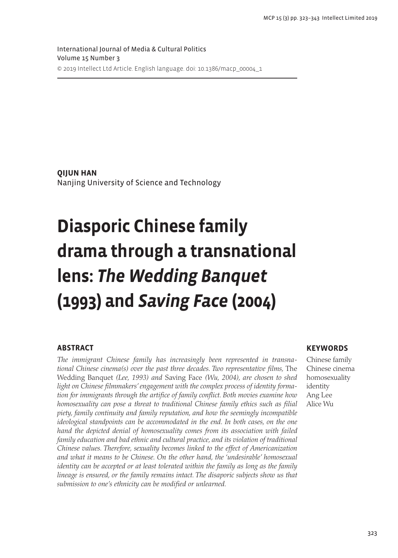International Journal of Media & Cultural Politics Volume 15 Number 3 © 2019 Intellect Ltd Article. English language. doi: 10.1386/macp\_00004\_1

**QIJUN HAN** Nanjing University of Science and Technology

# **Diasporic Chinese family drama through a transnational lens:** *The Wedding Banquet* **(1993) and** *Saving Face* **(2004)**

#### **ABSTRACT**

*The immigrant Chinese family has increasingly been represented in transnational Chinese cinema(s) over the past three decades. Two representative films,* The Wedding Banquet *(Lee, 1993) and* Saving Face *(Wu, 2004), are chosen to shed light on Chinese filmmakers' engagement with the complex process of identity formation for immigrants through the artifice of family conflict. Both movies examine how homosexuality can pose a threat to traditional Chinese family ethics such as filial piety, family continuity and family reputation, and how the seemingly incompatible ideological standpoints can be accommodated in the end. In both cases, on the one* hand the depicted denial of homosexuality comes from its association with failed *family education and bad ethnic and cultural practice, and its violation of traditional Chinese values. Therefore, sexuality becomes linked to the effect of Americanization and what it means to be Chinese. On the other hand, the 'undesirable' homosexual identity can be accepted or at least tolerated within the family as long as the family lineage is ensured, or the family remains intact. The disaporic subjects show us that submission to one's ethnicity can be modified or unlearned.*

#### **KEYWORDS**

Chinese family Chinese cinema homosexuality identity Ang Lee Alice Wu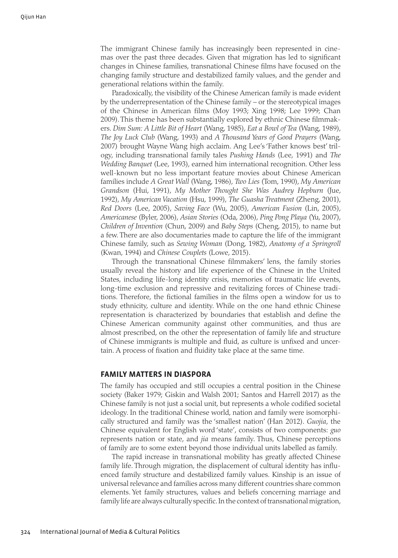The immigrant Chinese family has increasingly been represented in cinemas over the past three decades. Given that migration has led to significant changes in Chinese families, transnational Chinese films have focused on the changing family structure and destabilized family values, and the gender and generational relations within the family.

Paradoxically, the visibility of the Chinese American family is made evident by the underrepresentation of the Chinese family – or the stereotypical images of the Chinese in American films (Moy 1993; Xing 1998; Lee 1999; Chan 2009). This theme has been substantially explored by ethnic Chinese filmmakers. *Dim Sum: A Little Bit of Heart* (Wang, 1985), *Eat a Bowl of Tea* (Wang, 1989), *The Joy Luck Club* (Wang, 1993) and *A Thousand Years of Good Prayers* (Wang, 2007) brought Wayne Wang high acclaim. Ang Lee's 'Father knows best' trilogy, including transnational family tales *Pushing Hands* (Lee, 1991) and *The Wedding Banquet* (Lee, 1993), earned him international recognition. Other less well-known but no less important feature movies about Chinese American families include *A Great Wall* (Wang, 1986), *Two Lies* (Tom, 1990), *My American Grandson* (Hui, 1991), *My Mother Thought She Was Audrey Hepburn* (Jue, 1992), *My American Vacation* (Hsu, 1999), *The Guasha Treatment* (Zheng, 2001), *Red Doors* (Lee, 2005), *Saving Face* (Wu, 2005), *American Fusion* (Lin, 2005), *Americanese* (Byler, 2006), *Asian Stories* (Oda, 2006), *Ping Pong Playa* (Yu, 2007), *Children of Invention* (Chun, 2009) and *Baby Steps* (Cheng, 2015), to name but a few. There are also documentaries made to capture the life of the immigrant Chinese family, such as *Sewing Woman* (Dong, 1982), *Anatomy of a Springroll* (Kwan, 1994) and *Chinese Couplets* (Lowe, 2015).

Through the transnational Chinese filmmakers' lens, the family stories usually reveal the history and life experience of the Chinese in the United States, including life-long identity crisis, memories of traumatic life events, long-time exclusion and repressive and revitalizing forces of Chinese traditions. Therefore, the fictional families in the films open a window for us to study ethnicity, culture and identity. While on the one hand ethnic Chinese representation is characterized by boundaries that establish and define the Chinese American community against other communities, and thus are almost prescribed, on the other the representation of family life and structure of Chinese immigrants is multiple and fluid, as culture is unfixed and uncertain. A process of fixation and fluidity take place at the same time.

#### **FAMILY MATTERS IN DIASPORA**

The family has occupied and still occupies a central position in the Chinese society (Baker 1979; Giskin and Walsh 2001; Santos and Harrell 2017) as the Chinese family is not just a social unit, but represents a whole codified societal ideology. In the traditional Chinese world, nation and family were isomorphically structured and family was the 'smallest nation' (Han 2012). *Guojia*, the Chinese equivalent for English word 'state', consists of two components: *guo* represents nation or state, and *jia* means family. Thus, Chinese perceptions of family are to some extent beyond those individual units labelled as family.

The rapid increase in transnational mobility has greatly affected Chinese family life. Through migration, the displacement of cultural identity has influenced family structure and destabilized family values. Kinship is an issue of universal relevance and families across many different countries share common elements. Yet family structures, values and beliefs concerning marriage and family life are always culturally specific. In the context of transnational migration,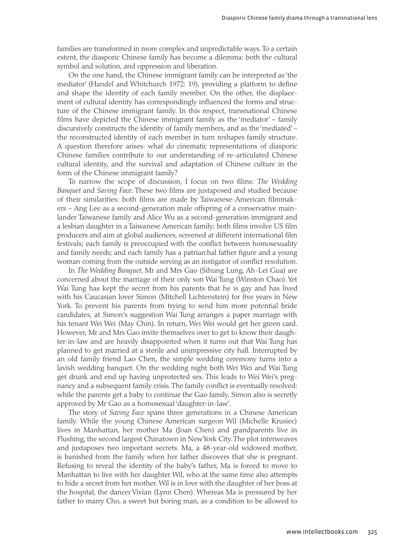families are transformed in more complex and unpredictable ways. To a certain extent, the diasporic Chinese family has become a dilemma: both the cultural symbol and solution, and oppression and liberation.

On the one hand, the Chinese immigrant family can be interpreted as 'the mediator' (Handel and Whitchurch 1972: 19), providing a platform to define and shape the identity of each family member. On the other, the displacement of cultural identity has correspondingly influenced the forms and structure of the Chinese immigrant family. In this respect, transnational Chinese films have depicted the Chinese immigrant family as the 'mediator' – family discursively constructs the identity of family members, and as the 'mediated' – the reconstructed identity of each member in turn reshapes family structure. A question therefore arises: what do cinematic representations of diasporic Chinese families contribute to our understanding of re-articulated Chinese cultural identity, and the survival and adaptation of Chinese culture in the form of the Chinese immigrant family?

To narrow the scope of discussion, I focus on two films: *The Wedding Banquet* and *Saving Face*. These two films are juxtaposed and studied because of their similarities: both films are made by Taiwanese-American filmmakers – Ang Lee as a second-generation male offspring of a conservative mainlander Taiwanese family and Alice Wu as a second-generation immigrant and a lesbian daughter in a Taiwanese American family; both films involve US film producers and aim at global audiences, screened at different international film festivals; each family is preoccupied with the conflict between homosexuality and family needs; and each family has a patriarchal father figure and a young woman coming from the outside serving as an instigator of conflict resolution.

In *The Wedding Banquet*, Mr and Mrs Gao (Sihung Lung, Ah-Lei Gua) are concerned about the marriage of their only son Wai Tung (Winston Chao). Yet Wai Tung has kept the secret from his parents that he is gay and has lived with his Caucasian lover Simon (Mitchell Lichtenstein) for five years in New York. To prevent his parents from trying to send him more potential bride candidates, at Simon's suggestion Wai Tung arranges a paper marriage with his tenant Wei Wei (May Chin). In return, Wei Wei would get her green card. However, Mr and Mrs Gao invite themselves over to get to know their daughter-in-law and are heavily disappointed when it turns out that Wai Tung has planned to get married at a sterile and unimpressive city hall. Interrupted by an old family friend Lao Chen, the simple wedding ceremony turns into a lavish wedding banquet. On the wedding night both Wei Wei and Wai Tung get drunk and end up having unprotected sex. This leads to Wei Wei's pregnancy and a subsequent family crisis. The family conflict is eventually resolved: while the parents get a baby to continue the Gao family, Simon also is secretly approved by Mr Gao as a homosexual 'daughter-in-law'.

The story of *Saving Face* spans three generations in a Chinese American family. While the young Chinese American surgeon Wil (Michelle Krusiec) lives in Manhattan, her mother Ma (Joan Chen) and grandparents live in Flushing, the second largest Chinatown in New York City. The plot interweaves and juxtaposes two important secrets. Ma, a 48-year-old widowed mother, is banished from the family when her father discovers that she is pregnant. Refusing to reveal the identity of the baby's father, Ma is forced to move to Manhattan to live with her daughter Wil, who at the same time also attempts to hide a secret from her mother. Wil is in love with the daughter of her boss at the hospital, the dancer Vivian (Lynn Chen). Whereas Ma is pressured by her father to marry Cho, a sweet but boring man, as a condition to be allowed to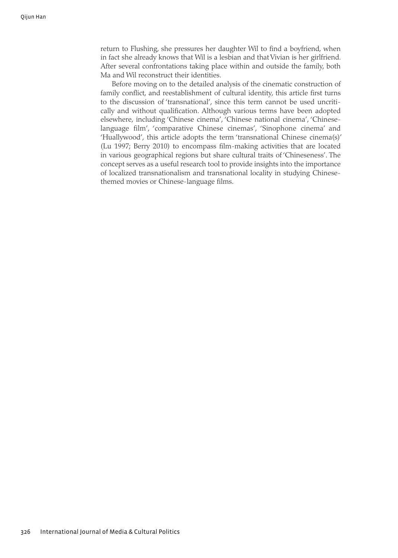return to Flushing, she pressures her daughter Wil to find a boyfriend, when in fact she already knows that Wil is a lesbian and that Vivian is her girlfriend. After several confrontations taking place within and outside the family, both Ma and Wil reconstruct their identities.

Before moving on to the detailed analysis of the cinematic construction of family conflict, and reestablishment of cultural identity, this article first turns to the discussion of 'transnational', since this term cannot be used uncritically and without qualification. Although various terms have been adopted elsewhere, including 'Chinese cinema', 'Chinese national cinema', 'Chineselanguage film', 'comparative Chinese cinemas', 'Sinophone cinema' and 'Huallywood', this article adopts the term 'transnational Chinese cinema(s)' (Lu 1997; Berry 2010) to encompass film-making activities that are located in various geographical regions but share cultural traits of 'Chineseness'. The concept serves as a useful research tool to provide insights into the importance of localized transnationalism and transnational locality in studying Chinesethemed movies or Chinese-language films.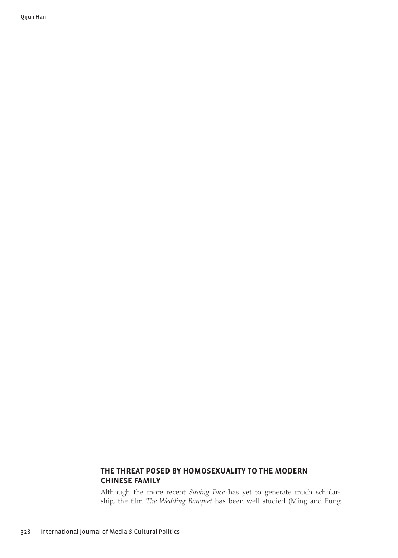Qijun Han

## **THE THREAT POSED BY HOMOSEXUALITY TO THE MODERN CHINESE FAMILY**

Although the more recent *Saving Face* has yet to generate much scholarship, the film *The Wedding Banquet* has been well studied (Ming and Fung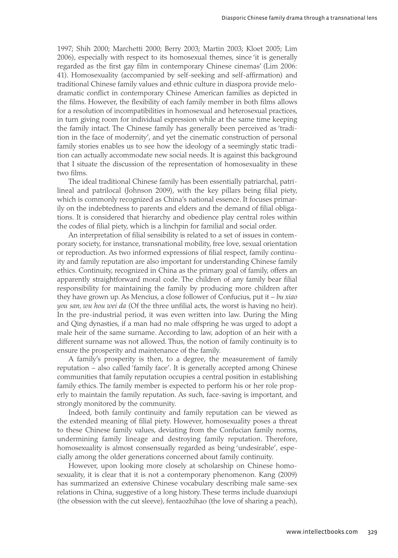1997; Shih 2000; Marchetti 2000; Berry 2003; Martin 2003; Kloet 2005; Lim 2006), especially with respect to its homosexual themes, since 'it is generally regarded as the first gay film in contemporary Chinese cinemas' (Lim 2006: 41). Homosexuality (accompanied by self-seeking and self-affirmation) and traditional Chinese family values and ethnic culture in diaspora provide melodramatic conflict in contemporary Chinese American families as depicted in the films. However, the flexibility of each family member in both films allows for a resolution of incompatibilities in homosexual and heterosexual practices, in turn giving room for individual expression while at the same time keeping the family intact. The Chinese family has generally been perceived as 'tradition in the face of modernity', and yet the cinematic construction of personal family stories enables us to see how the ideology of a seemingly static tradition can actually accommodate new social needs. It is against this background that I situate the discussion of the representation of homosexuality in these two films.

The ideal traditional Chinese family has been essentially patriarchal, patrilineal and patrilocal (Johnson 2009), with the key pillars being filial piety, which is commonly recognized as China's national essence. It focuses primarily on the indebtedness to parents and elders and the demand of filial obligations. It is considered that hierarchy and obedience play central roles within the codes of filial piety, which is a linchpin for familial and social order.

An interpretation of filial sensibility is related to a set of issues in contemporary society, for instance, transnational mobility, free love, sexual orientation or reproduction. As two informed expressions of filial respect, family continuity and family reputation are also important for understanding Chinese family ethics. Continuity, recognized in China as the primary goal of family, offers an apparently straightforward moral code. The children of any family bear filial responsibility for maintaining the family by producing more children after they have grown up. As Mencius, a close follower of Confucius, put it – *bu xiao you san, wu hou wei da* (Of the three unfilial acts, the worst is having no heir). In the pre-industrial period, it was even written into law. During the Ming and Qing dynasties, if a man had no male offspring he was urged to adopt a male heir of the same surname. According to law, adoption of an heir with a different surname was not allowed. Thus, the notion of family continuity is to ensure the prosperity and maintenance of the family.

A family's prosperity is then, to a degree, the measurement of family reputation – also called 'family face'. It is generally accepted among Chinese communities that family reputation occupies a central position in establishing family ethics. The family member is expected to perform his or her role properly to maintain the family reputation. As such, face-saving is important, and strongly monitored by the community.

Indeed, both family continuity and family reputation can be viewed as the extended meaning of filial piety. However, homosexuality poses a threat to these Chinese family values, deviating from the Confucian family norms, undermining family lineage and destroying family reputation. Therefore, homosexuality is almost consensually regarded as being 'undesirable', especially among the older generations concerned about family continuity.

However, upon looking more closely at scholarship on Chinese homosexuality, it is clear that it is not a contemporary phenomenon. Kang (2009) has summarized an extensive Chinese vocabulary describing male same-sex relations in China, suggestive of a long history. These terms include duanxiupi (the obsession with the cut sleeve), fentaozhihao (the love of sharing a peach),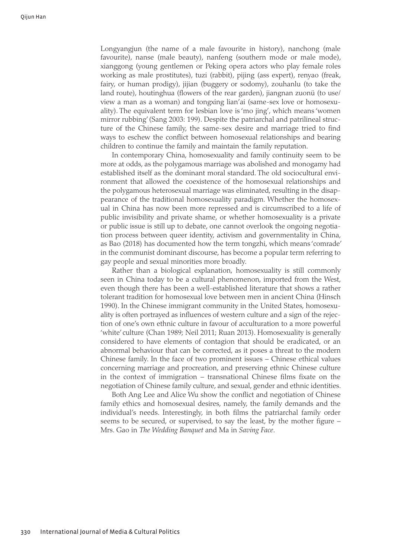Longyangjun (the name of a male favourite in history), nanchong (male favourite), nanse (male beauty), nanfeng (southern mode or male mode), xianggong (young gentlemen or Peking opera actors who play female roles working as male prostitutes), tuzi (rabbit), pijing (ass expert), renyao (freak, fairy, or human prodigy), jijian (buggery or sodomy), zouhanlu (to take the land route), houtinghua (flowers of the rear garden), jiangnan zuonü (to use/ view a man as a woman) and tongxing lian'ai (same-sex love or homosexuality). The equivalent term for lesbian love is 'mo jing', which means 'women mirror rubbing' (Sang 2003: 199). Despite the patriarchal and patrilineal structure of the Chinese family, the same-sex desire and marriage tried to find ways to eschew the conflict between homosexual relationships and bearing children to continue the family and maintain the family reputation.

In contemporary China, homosexuality and family continuity seem to be more at odds, as the polygamous marriage was abolished and monogamy had established itself as the dominant moral standard. The old sociocultural environment that allowed the coexistence of the homosexual relationships and the polygamous heterosexual marriage was eliminated, resulting in the disappearance of the traditional homosexuality paradigm. Whether the homosexual in China has now been more repressed and is circumscribed to a life of public invisibility and private shame, or whether homosexuality is a private or public issue is still up to debate, one cannot overlook the ongoing negotiation process between queer identity, activism and governmentality in China, as Bao (2018) has documented how the term tongzhi, which means 'comrade' in the communist dominant discourse, has become a popular term referring to gay people and sexual minorities more broadly.

Rather than a biological explanation, homosexuality is still commonly seen in China today to be a cultural phenomenon, imported from the West, even though there has been a well-established literature that shows a rather tolerant tradition for homosexual love between men in ancient China (Hinsch 1990). In the Chinese immigrant community in the United States, homosexuality is often portrayed as influences of western culture and a sign of the rejection of one's own ethnic culture in favour of acculturation to a more powerful 'white' culture (Chan 1989; Neil 2011; Ruan 2013). Homosexuality is generally considered to have elements of contagion that should be eradicated, or an abnormal behaviour that can be corrected, as it poses a threat to the modern Chinese family. In the face of two prominent issues – Chinese ethical values concerning marriage and procreation, and preserving ethnic Chinese culture in the context of immigration – transnational Chinese films fixate on the negotiation of Chinese family culture, and sexual, gender and ethnic identities.

Both Ang Lee and Alice Wu show the conflict and negotiation of Chinese family ethics and homosexual desires, namely, the family demands and the individual's needs. Interestingly, in both films the patriarchal family order seems to be secured, or supervised, to say the least, by the mother figure – Mrs. Gao in *The Wedding Banquet* and Ma in *Saving Face*.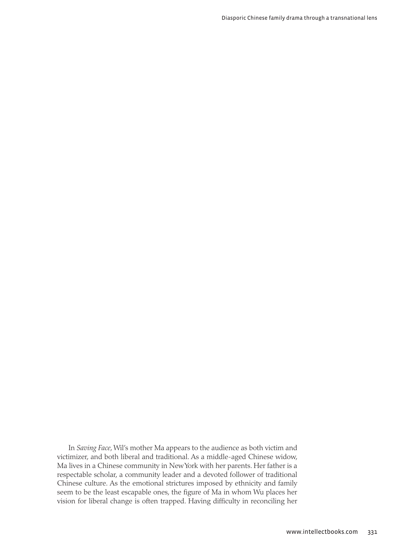Diasporic Chinese family drama through a transnational lens

In *Saving Face*, Wil's mother Ma appears to the audience as both victim and victimizer, and both liberal and traditional. As a middle-aged Chinese widow, Ma lives in a Chinese community in New York with her parents. Her father is a respectable scholar, a community leader and a devoted follower of traditional Chinese culture. As the emotional strictures imposed by ethnicity and family seem to be the least escapable ones, the figure of Ma in whom Wu places her vision for liberal change is often trapped. Having difficulty in reconciling her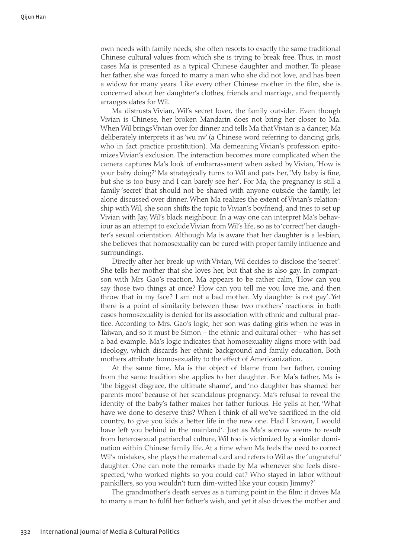own needs with family needs, she often resorts to exactly the same traditional Chinese cultural values from which she is trying to break free. Thus, in most cases Ma is presented as a typical Chinese daughter and mother. To please her father, she was forced to marry a man who she did not love, and has been a widow for many years. Like every other Chinese mother in the film, she is concerned about her daughter's clothes, friends and marriage, and frequently arranges dates for Wil.

Ma distrusts Vivian, Wil's secret lover, the family outsider. Even though Vivian is Chinese, her broken Mandarin does not bring her closer to Ma. When Wil brings Vivian over for dinner and tells Ma that Vivian is a dancer, Ma deliberately interprets it as 'wu nv' (a Chinese word referring to dancing girls, who in fact practice prostitution). Ma demeaning Vivian's profession epitomizes Vivian's exclusion. The interaction becomes more complicated when the camera captures Ma's look of embarrassment when asked by Vivian, 'How is your baby doing?' Ma strategically turns to Wil and pats her, 'My baby is fine, but she is too busy and I can barely see her'. For Ma, the pregnancy is still a family 'secret' that should not be shared with anyone outside the family, let alone discussed over dinner. When Ma realizes the extent of Vivian's relationship with Wil, she soon shifts the topic to Vivian's boyfriend, and tries to set up Vivian with Jay, Wil's black neighbour. In a way one can interpret Ma's behaviour as an attempt to exclude Vivian from Wil's life, so as to 'correct' her daughter's sexual orientation. Although Ma is aware that her daughter is a lesbian, she believes that homosexuality can be cured with proper family influence and surroundings.

Directly after her break-up with Vivian, Wil decides to disclose the 'secret'. She tells her mother that she loves her, but that she is also gay. In comparison with Mrs Gao's reaction, Ma appears to be rather calm, 'How can you say those two things at once? How can you tell me you love me, and then throw that in my face? I am not a bad mother. My daughter is not gay'. Yet there is a point of similarity between these two mothers' reactions: in both cases homosexuality is denied for its association with ethnic and cultural practice. According to Mrs. Gao's logic, her son was dating girls when he was in Taiwan, and so it must be Simon – the ethnic and cultural other – who has set a bad example. Ma's logic indicates that homosexuality aligns more with bad ideology, which discards her ethnic background and family education. Both mothers attribute homosexuality to the effect of Americanization.

At the same time, Ma is the object of blame from her father, coming from the same tradition she applies to her daughter. For Ma's father, Ma is 'the biggest disgrace, the ultimate shame', and 'no daughter has shamed her parents more' because of her scandalous pregnancy. Ma's refusal to reveal the identity of the baby's father makes her father furious. He yells at her, 'What have we done to deserve this? When I think of all we've sacrificed in the old country, to give you kids a better life in the new one. Had I known, I would have left you behind in the mainland'. Just as Ma's sorrow seems to result from heterosexual patriarchal culture, Wil too is victimized by a similar domination within Chinese family life. At a time when Ma feels the need to correct Wil's mistakes, she plays the maternal card and refers to Wil as the 'ungrateful' daughter. One can note the remarks made by Ma whenever she feels disrespected, 'who worked nights so you could eat? Who stayed in labor without painkillers, so you wouldn't turn dim-witted like your cousin Jimmy?'

The grandmother's death serves as a turning point in the film: it drives Ma to marry a man to fulfil her father's wish, and yet it also drives the mother and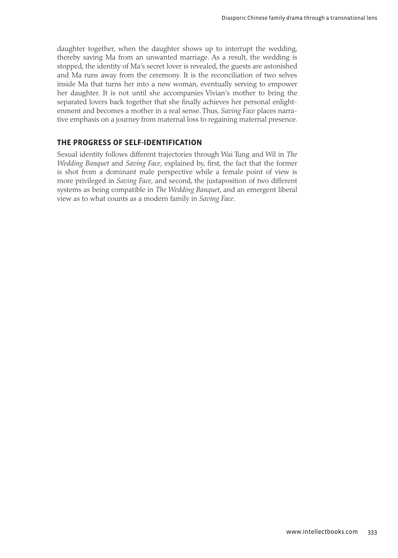daughter together, when the daughter shows up to interrupt the wedding, thereby saving Ma from an unwanted marriage. As a result, the wedding is stopped, the identity of Ma's secret lover is revealed, the guests are astonished and Ma runs away from the ceremony. It is the reconciliation of two selves inside Ma that turns her into a new woman, eventually serving to empower her daughter. It is not until she accompanies Vivian's mother to bring the separated lovers back together that she finally achieves her personal enlightenment and becomes a mother in a real sense. Thus, *Saving Face* places narrative emphasis on a journey from maternal loss to regaining maternal presence.

#### **THE PROGRESS OF SELF-IDENTIFICATION**

Sexual identity follows different trajectories through Wai Tung and Wil in *The Wedding Banquet* and *Saving Face*, explained by, first, the fact that the former is shot from a dominant male perspective while a female point of view is more privileged in *Saving Face*, and second, the juxtaposition of two different systems as being compatible in *The Wedding Banquet*, and an emergent liberal view as to what counts as a modern family in *Saving Face*.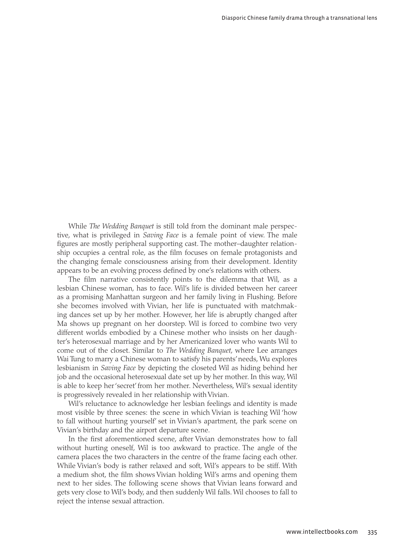While *The Wedding Banquet* is still told from the dominant male perspective, what is privileged in *Saving Face* is a female point of view. The male figures are mostly peripheral supporting cast. The mother–daughter relationship occupies a central role, as the film focuses on female protagonists and the changing female consciousness arising from their development. Identity appears to be an evolving process defined by one's relations with others.

The film narrative consistently points to the dilemma that Wil, as a lesbian Chinese woman, has to face. Wil's life is divided between her career as a promising Manhattan surgeon and her family living in Flushing. Before she becomes involved with Vivian, her life is punctuated with matchmaking dances set up by her mother. However, her life is abruptly changed after Ma shows up pregnant on her doorstep. Wil is forced to combine two very different worlds embodied by a Chinese mother who insists on her daughter's heterosexual marriage and by her Americanized lover who wants Wil to come out of the closet. Similar to *The Wedding Banquet*, where Lee arranges Wai Tung to marry a Chinese woman to satisfy his parents' needs, Wu explores lesbianism in *Saving Face* by depicting the closeted Wil as hiding behind her job and the occasional heterosexual date set up by her mother. In this way, Wil is able to keep her 'secret' from her mother. Nevertheless, Wil's sexual identity is progressively revealed in her relationship with Vivian.

Wil's reluctance to acknowledge her lesbian feelings and identity is made most visible by three scenes: the scene in which Vivian is teaching Wil 'how to fall without hurting yourself' set in Vivian's apartment, the park scene on Vivian's birthday and the airport departure scene.

In the first aforementioned scene, after Vivian demonstrates how to fall without hurting oneself, Wil is too awkward to practice. The angle of the camera places the two characters in the centre of the frame facing each other. While Vivian's body is rather relaxed and soft, Wil's appears to be stiff. With a medium shot, the film shows Vivian holding Wil's arms and opening them next to her sides. The following scene shows that Vivian leans forward and gets very close to Wil's body, and then suddenly Wil falls. Wil chooses to fall to reject the intense sexual attraction.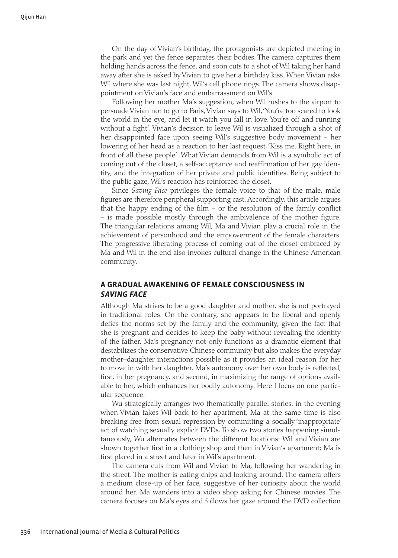On the day of Vivian's birthday, the protagonists are depicted meeting in the park and yet the fence separates their bodies. The camera captures them holding hands across the fence, and soon cuts to a shot of Wil taking her hand away after she is asked by Vivian to give her a birthday kiss. When Vivian asks Wil where she was last night, Wil's cell phone rings. The camera shows disappointment on Vivian's face and embarrassment on Wil's.

Following her mother Ma's suggestion, when Wil rushes to the airport to persuade Vivian not to go to Paris, Vivian says to Wil, 'You're too scared to look the world in the eye, and let it watch you fall in love. You're off and running without a fight'. Vivian's decision to leave Wil is visualized through a shot of her disappointed face upon seeing Wil's suggestive body movement – her lowering of her head as a reaction to her last request, 'Kiss me. Right here, in front of all these people'. What Vivian demands from Wil is a symbolic act of coming out of the closet, a self-acceptance and reaffirmation of her gay identity, and the integration of her private and public identities. Being subject to the public gaze, Wil's reaction has reinforced the closet.

Since *Saving Face* privileges the female voice to that of the male, male figures are therefore peripheral supporting cast. Accordingly, this article argues that the happy ending of the film – or the resolution of the family conflict – is made possible mostly through the ambivalence of the mother figure. The triangular relations among Wil, Ma and Vivian play a crucial role in the achievement of personhood and the empowerment of the female characters. The progressive liberating process of coming out of the closet embraced by Ma and Wil in the end also invokes cultural change in the Chinese American community.

#### **A GRADUAL AWAKENING OF FEMALE CONSCIOUSNESS IN**  *SAVING FACE*

Although Ma strives to be a good daughter and mother, she is not portrayed in traditional roles. On the contrary, she appears to be liberal and openly defies the norms set by the family and the community, given the fact that she is pregnant and decides to keep the baby without revealing the identity of the father. Ma's pregnancy not only functions as a dramatic element that destabilizes the conservative Chinese community but also makes the everyday mother–daughter interactions possible as it provides an ideal reason for her to move in with her daughter. Ma's autonomy over her own body is reflected, first, in her pregnancy, and second, in maximizing the range of options available to her, which enhances her bodily autonomy. Here I focus on one particular sequence.

Wu strategically arranges two thematically parallel stories: in the evening when Vivian takes Wil back to her apartment, Ma at the same time is also breaking free from sexual repression by committing a socially 'inappropriate' act of watching sexually explicit DVDs. To show two stories happening simultaneously, Wu alternates between the different locations: Wil and Vivian are shown together first in a clothing shop and then in Vivian's apartment; Ma is first placed in a street and later in Wil's apartment.

The camera cuts from Wil and Vivian to Ma, following her wandering in the street. The mother is eating chips and looking around. The camera offers a medium close-up of her face, suggestive of her curiosity about the world around her. Ma wanders into a video shop asking for Chinese movies. The camera focuses on Ma's eyes and follows her gaze around the DVD collection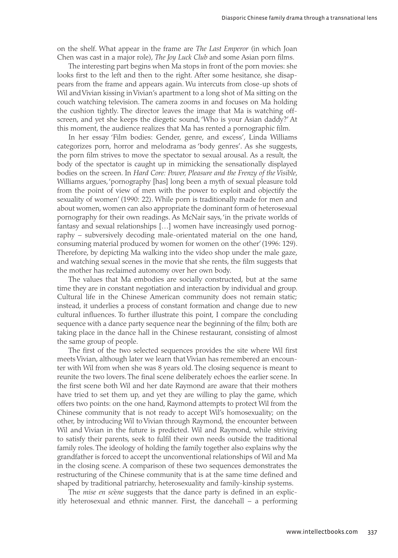on the shelf. What appear in the frame are *The Last Emperor* (in which Joan Chen was cast in a major role), *The Joy Luck Club* and some Asian porn films.

The interesting part begins when Ma stops in front of the porn movies: she looks first to the left and then to the right. After some hesitance, she disappears from the frame and appears again. Wu intercuts from close-up shots of Wil and Vivian kissing in Vivian's apartment to a long shot of Ma sitting on the couch watching television. The camera zooms in and focuses on Ma holding the cushion tightly. The director leaves the image that Ma is watching offscreen, and yet she keeps the diegetic sound, 'Who is your Asian daddy?' At this moment, the audience realizes that Ma has rented a pornographic film.

In her essay 'Film bodies: Gender, genre, and excess', Linda Williams categorizes porn, horror and melodrama as 'body genres'. As she suggests, the porn film strives to move the spectator to sexual arousal. As a result, the body of the spectator is caught up in mimicking the sensationally displayed bodies on the screen. In *Hard Core: Power, Pleasure and the Frenzy of the Visible*, Williams argues, 'pornography [has] long been a myth of sexual pleasure told from the point of view of men with the power to exploit and objectify the sexuality of women' (1990: 22). While porn is traditionally made for men and about women, women can also appropriate the dominant form of heterosexual pornography for their own readings. As McNair says, 'in the private worlds of fantasy and sexual relationships […] women have increasingly used pornography – subversively decoding male-orientated material on the one hand, consuming material produced by women for women on the other' (1996: 129). Therefore, by depicting Ma walking into the video shop under the male gaze, and watching sexual scenes in the movie that she rents, the film suggests that the mother has reclaimed autonomy over her own body.

The values that Ma embodies are socially constructed, but at the same time they are in constant negotiation and interaction by individual and group. Cultural life in the Chinese American community does not remain static; instead, it underlies a process of constant formation and change due to new cultural influences. To further illustrate this point, I compare the concluding sequence with a dance party sequence near the beginning of the film; both are taking place in the dance hall in the Chinese restaurant, consisting of almost the same group of people.

The first of the two selected sequences provides the site where Wil first meets Vivian, although later we learn that Vivian has remembered an encounter with Wil from when she was 8 years old. The closing sequence is meant to reunite the two lovers. The final scene deliberately echoes the earlier scene. In the first scene both Wil and her date Raymond are aware that their mothers have tried to set them up, and yet they are willing to play the game, which offers two points: on the one hand, Raymond attempts to protect Wil from the Chinese community that is not ready to accept Wil's homosexuality; on the other, by introducing Wil to Vivian through Raymond, the encounter between Wil and Vivian in the future is predicted. Wil and Raymond, while striving to satisfy their parents, seek to fulfil their own needs outside the traditional family roles. The ideology of holding the family together also explains why the grandfather is forced to accept the unconventional relationships of Wil and Ma in the closing scene. A comparison of these two sequences demonstrates the restructuring of the Chinese community that is at the same time defined and shaped by traditional patriarchy, heterosexuality and family-kinship systems.

The *mise en sc*è*ne* suggests that the dance party is defined in an explicitly heterosexual and ethnic manner. First, the dancehall – a performing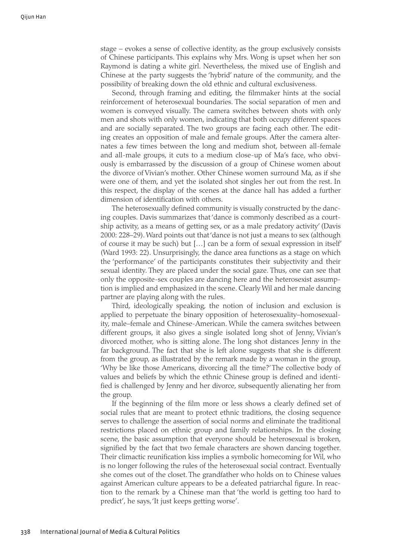stage – evokes a sense of collective identity, as the group exclusively consists of Chinese participants. This explains why Mrs. Wong is upset when her son Raymond is dating a white girl. Nevertheless, the mixed use of English and Chinese at the party suggests the 'hybrid' nature of the community, and the possibility of breaking down the old ethnic and cultural exclusiveness.

Second, through framing and editing, the filmmaker hints at the social reinforcement of heterosexual boundaries. The social separation of men and women is conveyed visually. The camera switches between shots with only men and shots with only women, indicating that both occupy different spaces and are socially separated. The two groups are facing each other. The editing creates an opposition of male and female groups. After the camera alternates a few times between the long and medium shot, between all-female and all-male groups, it cuts to a medium close-up of Ma's face, who obviously is embarrassed by the discussion of a group of Chinese women about the divorce of Vivian's mother. Other Chinese women surround Ma, as if she were one of them, and yet the isolated shot singles her out from the rest. In this respect, the display of the scenes at the dance hall has added a further dimension of identification with others.

The heterosexually defined community is visually constructed by the dancing couples. Davis summarizes that 'dance is commonly described as a courtship activity, as a means of getting sex, or as a male predatory activity' (Davis 2000: 228–29). Ward points out that 'dance is not just a means to sex (although of course it may be such) but […] can be a form of sexual expression in itself' (Ward 1993: 22). Unsurprisingly, the dance area functions as a stage on which the 'performance' of the participants constitutes their subjectivity and their sexual identity. They are placed under the social gaze. Thus, one can see that only the opposite-sex couples are dancing here and the heterosexist assumption is implied and emphasized in the scene. Clearly Wil and her male dancing partner are playing along with the rules.

Third, ideologically speaking, the notion of inclusion and exclusion is applied to perpetuate the binary opposition of heterosexuality–homosexuality, male–female and Chinese-American. While the camera switches between different groups, it also gives a single isolated long shot of Jenny, Vivian's divorced mother, who is sitting alone. The long shot distances Jenny in the far background. The fact that she is left alone suggests that she is different from the group, as illustrated by the remark made by a woman in the group, 'Why be like those Americans, divorcing all the time?' The collective body of values and beliefs by which the ethnic Chinese group is defined and identified is challenged by Jenny and her divorce, subsequently alienating her from the group.

If the beginning of the film more or less shows a clearly defined set of social rules that are meant to protect ethnic traditions, the closing sequence serves to challenge the assertion of social norms and eliminate the traditional restrictions placed on ethnic group and family relationships. In the closing scene, the basic assumption that everyone should be heterosexual is broken, signified by the fact that two female characters are shown dancing together. Their climactic reunification kiss implies a symbolic homecoming for Wil, who is no longer following the rules of the heterosexual social contract. Eventually she comes out of the closet. The grandfather who holds on to Chinese values against American culture appears to be a defeated patriarchal figure. In reaction to the remark by a Chinese man that 'the world is getting too hard to predict', he says, 'It just keeps getting worse'.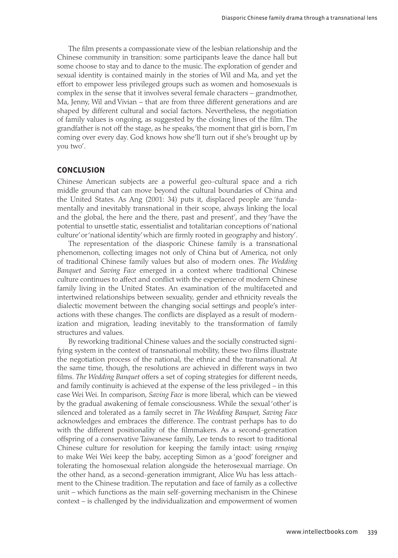The film presents a compassionate view of the lesbian relationship and the Chinese community in transition: some participants leave the dance hall but some choose to stay and to dance to the music. The exploration of gender and sexual identity is contained mainly in the stories of Wil and Ma, and yet the effort to empower less privileged groups such as women and homosexuals is complex in the sense that it involves several female characters – grandmother, Ma, Jenny, Wil and Vivian – that are from three different generations and are shaped by different cultural and social factors. Nevertheless, the negotiation of family values is ongoing, as suggested by the closing lines of the film. The grandfather is not off the stage, as he speaks, 'the moment that girl is born, I'm coming over every day. God knows how she'll turn out if she's brought up by you two'.

#### **CONCLUSION**

Chinese American subjects are a powerful geo-cultural space and a rich middle ground that can move beyond the cultural boundaries of China and the United States. As Ang (2001: 34) puts it, displaced people are 'fundamentally and inevitably transnational in their scope, always linking the local and the global, the here and the there, past and present', and they 'have the potential to unsettle static, essentialist and totalitarian conceptions of 'national culture' or 'national identity' which are firmly rooted in geography and history'.

The representation of the diasporic Chinese family is a transnational phenomenon, collecting images not only of China but of America, not only of traditional Chinese family values but also of modern ones. *The Wedding Banquet* and *Saving Face* emerged in a context where traditional Chinese culture continues to affect and conflict with the experience of modern Chinese family living in the United States. An examination of the multifaceted and intertwined relationships between sexuality, gender and ethnicity reveals the dialectic movement between the changing social settings and people's interactions with these changes. The conflicts are displayed as a result of modernization and migration, leading inevitably to the transformation of family structures and values.

By reworking traditional Chinese values and the socially constructed signifying system in the context of transnational mobility, these two films illustrate the negotiation process of the national, the ethnic and the transnational. At the same time, though, the resolutions are achieved in different ways in two films. *The Wedding Banquet* offers a set of coping strategies for different needs, and family continuity is achieved at the expense of the less privileged – in this case Wei Wei. In comparison, *Saving Face* is more liberal, which can be viewed by the gradual awakening of female consciousness. While the sexual 'other' is silenced and tolerated as a family secret in *The Wedding Banquet*, *Saving Face* acknowledges and embraces the difference. The contrast perhaps has to do with the different positionality of the filmmakers. As a second-generation offspring of a conservative Taiwanese family, Lee tends to resort to traditional Chinese culture for resolution for keeping the family intact: using *renqing*  to make Wei Wei keep the baby, accepting Simon as a 'good' foreigner and tolerating the homosexual relation alongside the heterosexual marriage. On the other hand, as a second-generation immigrant, Alice Wu has less attachment to the Chinese tradition. The reputation and face of family as a collective unit – which functions as the main self-governing mechanism in the Chinese context – is challenged by the individualization and empowerment of women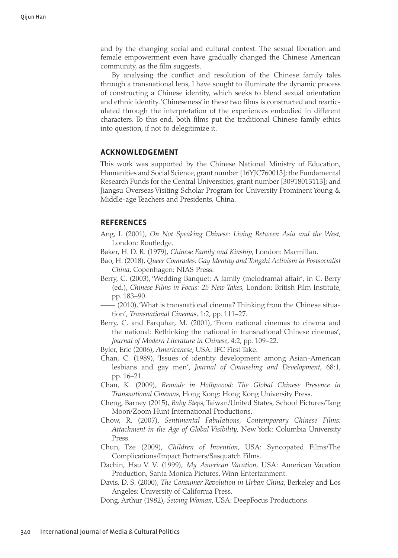and by the changing social and cultural context. The sexual liberation and female empowerment even have gradually changed the Chinese American community, as the film suggests.

By analysing the conflict and resolution of the Chinese family tales through a transnational lens, I have sought to illuminate the dynamic process of constructing a Chinese identity, which seeks to blend sexual orientation and ethnic identity. 'Chineseness' in these two films is constructed and rearticulated through the interpretation of the experiences embodied in different characters. To this end, both films put the traditional Chinese family ethics into question, if not to delegitimize it.

#### **ACKNOWLEDGEMENT**

This work was supported by the Chinese National Ministry of Education, Humanities and Social Science, grant number [16YJC760013]; the Fundamental Research Funds for the Central Universities, grant number [30918013113]; and Jiangsu Overseas Visiting Scholar Program for University Prominent Young & Middle-age Teachers and Presidents, China.

#### **REFERENCES**

- Ang, I. (2001), *On Not Speaking Chinese: Living Between Asia and the West*, London: Routledge.
- Baker, H. D. R. (1979), *Chinese Family and Kinship*, London: Macmillan.
- Bao, H. (2018), *Queer Comrades: Gay Identity and Tongzhi Activism in Postsocialist China*, Copenhagen: NIAS Press.
- Berry, C. (2003), 'Wedding Banquet: A family (melodrama) affair', in C. Berry (ed.), *Chinese Films in Focus: 25 New Takes*, London: British Film Institute, pp. 183–90.
	- —— (2010), 'What is transnational cinema? Thinking from the Chinese situation', *Transnational Cinemas*, 1:2, pp. 111–27.
- Berry, C. and Farquhar, M. (2001), 'From national cinemas to cinema and the national: Rethinking the national in transnational Chinese cinemas', *Journal of Modern Literature in Chinese*, 4:2, pp. 109–22.
- Byler, Eric (2006), *Americanese*, USA: IFC First Take.
- Chan, C. (1989), 'Issues of identity development among Asian-American lesbians and gay men', *Journal of Counseling and Development*, 68:1, pp. 16–21.
- Chan, K. (2009), *Remade in Hollywood: The Global Chinese Presence in Transnational Cinemas*, Hong Kong: Hong Kong University Press.
- Cheng, Barney (2015), *Baby Steps*, Taiwan/United States, School Pictures/Tang Moon/Zoom Hunt International Productions.
- Chow, R. (2007), *Sentimental Fabulations, Contemporary Chinese Films: Attachment in the Age of Global Visibility*, New York: Columbia University Press.
- Chun, Tze (2009), *Children of Invention*, USA: Syncopated Films/The Complications/Impact Partners/Sasquatch Films.
- Dachin, Hsu V. V. (1999), *My American Vacation*, USA: American Vacation Production, Santa Monica Pictures, Winn Entertainment.
- Davis, D. S. (2000), *The Consumer Revolution in Urban China*, Berkeley and Los Angeles: University of California Press.
- Dong, Arthur (1982), *Sewing Woman*, USA: DeepFocus Productions.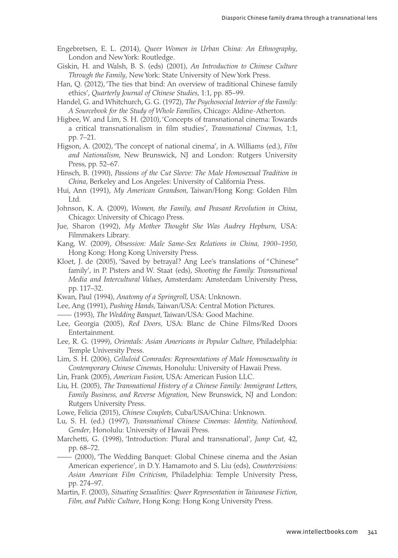- Engebretsen, E. L. (2014), *Queer Women in Urban China: An Ethnography*, London and New York: Routledge.
- Giskin, H. and Walsh, B. S. (eds) (2001), *An Introduction to Chinese Culture Through the Family*, New York: State University of New York Press.
- Han, Q. (2012), 'The ties that bind: An overview of traditional Chinese family ethics', *Quarterly Journal of Chinese Studies*, 1:1, pp. 85–99.
- Handel, G. and Whitchurch, G. G. (1972), *The Psychosocial Interior of the Family: A Sourcebook for the Study of Whole Families*, Chicago: Aldine-Atherton.
- Higbee, W. and Lim, S. H. (2010), 'Concepts of transnational cinema: Towards a critical transnationalism in film studies', *Transnational Cinemas*, 1:1, pp. 7–21.
- Higson, A. (2002), 'The concept of national cinema', in A. Williams (ed.), *Film and Nationalism*, New Brunswick, NJ and London: Rutgers University Press, pp. 52–67.
- Hinsch, B. (1990), *Passions of the Cut Sleeve: The Male Homosexual Tradition in China*, Berkeley and Los Angeles: University of California Press.
- Hui, Ann (1991), *My American Grandson*, Taiwan/Hong Kong: Golden Film Ltd.
- Johnson, K. A. (2009), *Women, the Family, and Peasant Revolution in China*, Chicago: University of Chicago Press.
- Jue, Sharon (1992), *My Mother Thought She Was Audrey Hepburn*, USA: Filmmakers Library.
- Kang, W. (2009), *Obsession: Male Same-Sex Relations in China, 1900–1950*, Hong Kong: Hong Kong University Press.
- Kloet, J. de (2005), 'Saved by betrayal? Ang Lee's translations of "Chinese" family', in P. Pisters and W. Staat (eds), *Shooting the Family: Transnational Media and Intercultural Values*, Amsterdam: Amsterdam University Press, pp. 117–32.
- Kwan, Paul (1994), *Anatomy of a Springroll*, USA: Unknown.
- Lee, Ang (1991), *Pushing Hands*, Taiwan/USA: Central Motion Pictures.
- —— (1993), *The Wedding Banquet*, Taiwan/USA: Good Machine.
- Lee, Georgia (2005), *Red Doors*, USA: Blanc de Chine Films/Red Doors Entertainment.
- Lee, R. G. (1999), *Orientals: Asian Americans in Popular Culture*, Philadelphia: Temple University Press.
- Lim, S. H. (2006), *Celluloid Comrades: Representations of Male Homosexuality in Contemporary Chinese Cinemas*, Honolulu: University of Hawaii Press.
- Lin, Frank (2005), *American Fusion*, USA: American Fusion LLC.
- Liu, H. (2005), *The Transnational History of a Chinese Family: Immigrant Letters, Family Business, and Reverse Migration*, New Brunswick, NJ and London: Rutgers University Press.
- Lowe, Felicia (2015), *Chinese Couplets*, Cuba/USA/China: Unknown.
- Lu, S. H. (ed.) (1997), *Transnational Chinese Cinemas: Identity, Nationhood, Gender*, Honolulu: University of Hawaii Press.
- Marchetti, G. (1998), 'Introduction: Plural and transnational', *Jump Cut*, 42, pp. 68–72.
- —— (2000), 'The Wedding Banquet: Global Chinese cinema and the Asian American experience', in D.Y. Hamamoto and S. Liu (eds), *Countervisions: Asian American Film Criticism*, Philadelphia: Temple University Press, pp. 274–97.
- Martin, F. (2003), *Situating Sexualities: Queer Representation in Taiwanese Fiction, Film, and Public Culture*, Hong Kong: Hong Kong University Press.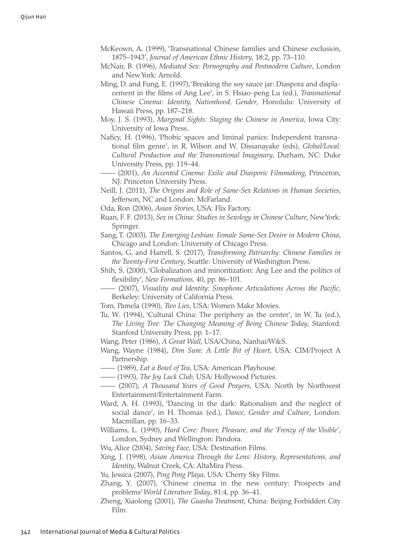- McKeown, A. (1999), 'Transnational Chinese families and Chinese exclusion, 1875–1943', *Journal of American Ethnic History*, 18:2, pp. 73–110.
- McNair, B. (1996), *Mediated Sex: Pornography and Postmodern Culture*, London and New York: Arnold.
- Ming, D. and Fung, E. (1997), 'Breaking the soy sauce jar: Diaspora and displacement in the films of Ang Lee', in S. Hsiao-peng Lu (ed.), *Transnational Chinese Cinema: Identity, Nationhood, Gender*, Honolulu: University of Hawaii Press, pp. 187–218.
- Moy, J. S. (1993), *Marginal Sights: Staging the Chinese in America*, Iowa City: University of Iowa Press.
- Naficy, H. (1996), 'Phobic spaces and liminal panics: Independent transnational film genre', in R. Wilson and W. Dissanayake (eds), *Global/Local: Cultural Production and the Transnational Imaginary*, Durham, NC: Duke University Press, pp. 119–44.
	- —— (2001), *An Accented Cinema: Exilic and Diasporic Filmmaking*, Princeton, NJ: Princeton University Press.
- Neill, J. (2011), *The Origins and Role of Same-Sex Relations in Human Societies*, Jefferson, NC and London: McFarland.
- Oda, Ron (2006), *Asian Stories*, USA: Flix Factory.
- Ruan, F. F. (2013), *Sex in China: Studies in Sexology in Chinese Culture*, New York: Springer.
- Sang, T. (2003), *The Emerging Lesbian: Female Same-Sex Desire in Modern China*, Chicago and London: University of Chicago Press.
- Santos, G. and Harrell, S. (2017), *Transforming Patriarchy: Chinese Families in the Twenty-First Century*, Seattle: University of Washington Press.
- Shih, S. (2000), 'Globalization and minoritization: Ang Lee and the politics of flexibility', *New Formations*, 40, pp. 86–101.
	- —— (2007), *Visuality and Identity: Sinophone Articulations Across the Pacific*, Berkeley: University of California Press.
- Tom, Pamela (1990), *Two Lies*, USA: Women Make Movies.
- Tu, W. (1994), 'Cultural China: The periphery as the center', in W. Tu (ed.), *The Living Tree: The Changing Meaning of Being Chinese Today*, Stanford: Stanford University Press, pp. 1–17.
- Wang, Peter (1986), *A Great Wall*, USA/China, Nanhai/W&S.
- Wang, Wayne (1984), *Dim Sum: A Little Bit of Heart*, USA: CIM/Project A Partnership.
- —— (1989), *Eat a Bowl of Tea*, USA: American Playhouse.
- —— (1993), *The Joy Luck Club*, USA: Hollywood Pictures.
- —— (2007), *A Thousand Years of Good Prayers*, USA: North by Northwest Entertainment/Entertainment Farm.
- Ward, A. H. (1993), 'Dancing in the dark: Rationalism and the neglect of social dance', in H. Thomas (ed.), *Dance, Gender and Culture*, London: Macmillan, pp. 16–33.
- Williams, L. (1990), *Hard Core: Power, Pleasure, and the 'Frenzy of the Visible'*, London, Sydney and Wellington: Pandora.
- Wu, Alice (2004), *Saving Face*, USA: Destination Films.
- Xing, J. (1998), *Asian America Through the Lens: History, Representations, and Identity*, Walnut Creek, CA: AltaMira Press.
- Yu, Jessica (2007), *Ping Pong Playa*, USA: Cherry Sky Films.
- Zhang, Y. (2007), 'Chinese cinema in the new century: Prospects and problems' *World Literature Today*, 81:4, pp. 36–41.
- Zheng, Xiaolong (2001), *The Guasha Treatment*, China: Beijing Forbidden City Film.